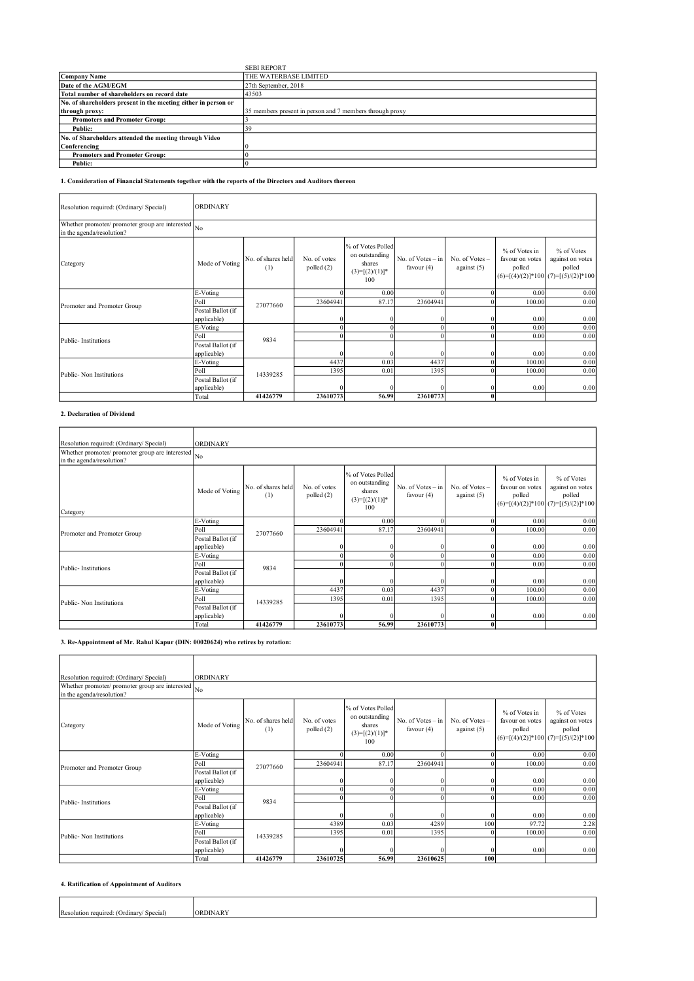|                                                                | <b>SEBI REPORT</b>                                       |
|----------------------------------------------------------------|----------------------------------------------------------|
| Company Name                                                   | THE WATERBASE LIMITED                                    |
| Date of the AGM/EGM                                            | 27th September, 2018                                     |
| Total number of shareholders on record date                    | 43503                                                    |
| No. of shareholders present in the meeting either in person or |                                                          |
| through proxy:                                                 | 35 members present in person and 7 members through proxy |
| <b>Promoters and Promoter Group:</b>                           |                                                          |
| Public:                                                        | 39                                                       |
| No. of Shareholders attended the meeting through Video         |                                                          |
| Conferencing                                                   |                                                          |
| <b>Promoters and Promoter Group:</b>                           |                                                          |
| Public:                                                        |                                                          |

# 1. Consideration of Financial Statements together with the reports of the Directors and Auditors thereon

| Resolution required: (Ordinary/ Special)                                        | <b>ORDINARY</b>   |                           |                              |                                                                           |                                   |                                   |                                            |                                                                                   |
|---------------------------------------------------------------------------------|-------------------|---------------------------|------------------------------|---------------------------------------------------------------------------|-----------------------------------|-----------------------------------|--------------------------------------------|-----------------------------------------------------------------------------------|
| Whether promoter/ promoter group are interested No<br>in the agenda/resolution? |                   |                           |                              |                                                                           |                                   |                                   |                                            |                                                                                   |
| Category                                                                        | Mode of Voting    | No. of shares held<br>(1) | No. of votes<br>polled $(2)$ | % of Votes Polled<br>on outstanding<br>shares<br>$(3)=[(2)/(1)]^*$<br>100 | No. of Votes - in<br>favour $(4)$ | No. of $Votes -$<br>against $(5)$ | % of Votes in<br>favour on votes<br>polled | % of Votes<br>against on votes<br>polled<br>$(6)=[(4)/(2)]*100$ (7)=[(5)/(2)]*100 |
|                                                                                 | E-Voting          |                           |                              | 0.00                                                                      |                                   |                                   | 0.00                                       | 0.00                                                                              |
| Promoter and Promoter Group                                                     | Poll              | 27077660                  | 23604941                     | 87.17                                                                     | 23604941                          | $\Omega$                          | 100.00                                     | 0.00                                                                              |
|                                                                                 | Postal Ballot (if |                           |                              |                                                                           |                                   |                                   |                                            |                                                                                   |
|                                                                                 | applicable)       |                           | $\overline{0}$               | $\mathbf{0}$                                                              | $\Omega$                          |                                   | 0.00                                       | 0.00                                                                              |
|                                                                                 | E-Voting          |                           |                              | $\mathbf{0}$                                                              |                                   | $\bf{0}$                          | 0.00                                       | 0.00                                                                              |
| Public-Institutions                                                             | Poll              | 9834                      |                              | $\Omega$                                                                  |                                   | $\Omega$                          | 0.00                                       | 0.00                                                                              |
|                                                                                 | Postal Ballot (if |                           |                              |                                                                           |                                   |                                   |                                            |                                                                                   |
|                                                                                 | applicable)       |                           | $\Omega$                     | $\Omega$                                                                  | $\Omega$                          |                                   | 0.00                                       | 0.00                                                                              |
|                                                                                 | E-Voting          |                           | 4437                         | 0.03                                                                      | 4437                              | $\overline{0}$                    | 100.00                                     | 0.00                                                                              |
| Public-Non Institutions                                                         | Poll              | 14339285                  | 1395                         | 0.01                                                                      | 1395                              | $\Omega$                          | 100.00                                     | 0.00                                                                              |
|                                                                                 | Postal Ballot (if |                           |                              |                                                                           |                                   |                                   |                                            |                                                                                   |
|                                                                                 | applicable)       |                           | $\Omega$                     | $\Omega$                                                                  | $\Omega$                          | $\overline{0}$                    | 0.00                                       | 0.00                                                                              |
|                                                                                 | Total             | 41426779                  | 23610773                     | 56.99                                                                     | 23610773                          | $\mathbf{0}$                      |                                            |                                                                                   |

### 2. Declaration of Dividend

|                                                                                                                                             | ORDINARY          |                           |                            |                                                                           |                                     |                                 |                                            |                                                                                     |
|---------------------------------------------------------------------------------------------------------------------------------------------|-------------------|---------------------------|----------------------------|---------------------------------------------------------------------------|-------------------------------------|---------------------------------|--------------------------------------------|-------------------------------------------------------------------------------------|
| Resolution required: (Ordinary/Special)<br>Whether promoter/ promoter group are interested $\vert_{\text{No}}$<br>in the agenda/resolution? |                   |                           |                            |                                                                           |                                     |                                 |                                            |                                                                                     |
| Category                                                                                                                                    | Mode of Voting    | No. of shares held<br>(1) | No. of votes<br>polled (2) | % of Votes Polled<br>on outstanding<br>shares<br>$(3)=[(2)/(1)]^*$<br>100 | No. of Votes $-$ in<br>favour $(4)$ | No. of Votes -<br>against $(5)$ | % of Votes in<br>favour on votes<br>polled | % of Votes<br>against on votes<br>polled<br>$(6)=[(4)/(2)]*100$ $(7)=[(5)/(2)]*100$ |
|                                                                                                                                             | E-Voting          |                           |                            | 0.00                                                                      |                                     |                                 | 0.00                                       | 0.00                                                                                |
| Promoter and Promoter Group                                                                                                                 | Poll              | 27077660                  | 23604941                   | 87.17                                                                     | 23604941                            |                                 | 100.00                                     | 0.00                                                                                |
|                                                                                                                                             | Postal Ballot (if |                           |                            |                                                                           |                                     |                                 |                                            |                                                                                     |
|                                                                                                                                             | applicable)       |                           |                            |                                                                           |                                     |                                 | 0.00                                       | 0.00                                                                                |
|                                                                                                                                             | E-Voting          |                           |                            | $\theta$                                                                  |                                     |                                 | 0.00                                       | 0.00                                                                                |
| Public-Institutions                                                                                                                         | Poll              | 9834                      |                            | $\theta$                                                                  |                                     |                                 | 0.00                                       | 0.00                                                                                |
|                                                                                                                                             | Postal Ballot (if |                           |                            |                                                                           |                                     |                                 |                                            |                                                                                     |
|                                                                                                                                             | applicable)       |                           |                            | 0                                                                         |                                     |                                 | 0.00                                       | 0.00                                                                                |
|                                                                                                                                             | E-Voting          |                           | 4437                       | 0.03                                                                      | 4437                                |                                 | 100.00                                     | 0.00                                                                                |
| Public-Non Institutions                                                                                                                     | Poll              | 14339285                  | 1395                       | 0.01                                                                      | 1395                                |                                 | 100.00                                     | 0.00                                                                                |
|                                                                                                                                             | Postal Ballot (if |                           |                            |                                                                           |                                     |                                 |                                            |                                                                                     |
|                                                                                                                                             | applicable)       |                           | $\Omega$                   |                                                                           |                                     |                                 | 0.00                                       | 0.00                                                                                |
|                                                                                                                                             | Total             | 41426779                  | 23610773                   | 56.99                                                                     | 23610773                            | $\mathbf{0}$                    |                                            |                                                                                     |

# 3. Re-Appointment of Mr. Rahul Kapur (DIN: 00020624) who retires by rotation:

| Resolution required: (Ordinary/ Special)                                       | ORDINARY                         |                           |                            |                                                                           |                                     |                                 |                                                                                                    |                                          |
|--------------------------------------------------------------------------------|----------------------------------|---------------------------|----------------------------|---------------------------------------------------------------------------|-------------------------------------|---------------------------------|----------------------------------------------------------------------------------------------------|------------------------------------------|
| Whether promoter/promoter group are interested No<br>in the agenda/resolution? |                                  |                           |                            |                                                                           |                                     |                                 |                                                                                                    |                                          |
| Category                                                                       | Mode of Voting                   | No. of shares held<br>(1) | No. of votes<br>polled (2) | % of Votes Polled<br>on outstanding<br>shares<br>$(3)=[(2)/(1)]^*$<br>100 | No. of Votes $-$ in<br>favour $(4)$ | No. of Votes -<br>against $(5)$ | % of Votes in<br>favour on votes<br>polled                                                         | % of Votes<br>against on votes<br>polled |
| Promoter and Promoter Group                                                    | E-Voting                         | 27077660                  |                            | 0.00                                                                      |                                     |                                 |                                                                                                    | 0.00                                     |
|                                                                                | Poll                             |                           | 23604941                   | 87.17                                                                     | 23604941                            |                                 | 100.00                                                                                             | 0.00                                     |
|                                                                                | Postal Ballot (if<br>applicable) |                           |                            |                                                                           |                                     |                                 |                                                                                                    | 0.00                                     |
|                                                                                | E-Voting                         |                           |                            |                                                                           |                                     |                                 |                                                                                                    | 0.00                                     |
|                                                                                | Poll                             |                           |                            |                                                                           |                                     |                                 | 0.00                                                                                               | 0.00                                     |
| Public-Institutions                                                            | Postal Ballot (if<br>applicable) | 9834                      |                            |                                                                           |                                     |                                 | $(6)=[(4)/(2)]*100$ $(7)=[(5)/(2)]*100$<br>0.00<br>0.00<br>0.00<br>0.00<br>97.72<br>100.00<br>0.00 | 0.00                                     |
|                                                                                | <b>E-Voting</b>                  |                           | 4389                       | 0.03                                                                      | 4289                                | 100                             |                                                                                                    | 2.28                                     |
| Public-Non Institutions                                                        | Poll                             | 14339285                  | 1395                       | 0.01                                                                      | 1395                                |                                 |                                                                                                    | 0.00                                     |
|                                                                                | Postal Ballot (if<br>applicable) |                           |                            |                                                                           |                                     |                                 |                                                                                                    | 0.00                                     |
|                                                                                | Total                            | 41426779                  | 23610725                   | 56.99                                                                     | 23610625                            | 100                             |                                                                                                    |                                          |

#### 4. Ratification of Appointment of Auditors

| D.<br>ure<br>шо<br>15 I | . |
|-------------------------|---|
|                         |   |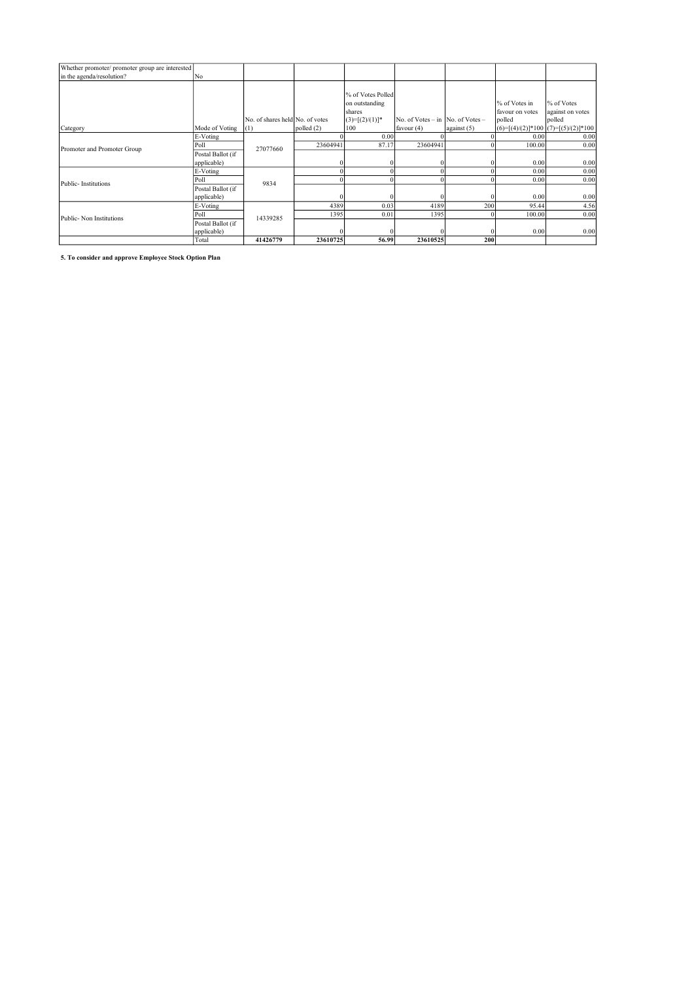| Whether promoter/ promoter group are interested |                   |                                 |              |                   |                                          |             |                 |                                        |
|-------------------------------------------------|-------------------|---------------------------------|--------------|-------------------|------------------------------------------|-------------|-----------------|----------------------------------------|
| in the agenda/resolution?                       | No                |                                 |              |                   |                                          |             |                 |                                        |
|                                                 |                   |                                 |              |                   |                                          |             |                 |                                        |
|                                                 |                   |                                 |              | % of Votes Polled |                                          |             |                 |                                        |
|                                                 |                   |                                 |              | on outstanding    |                                          |             | % of Votes in   | % of Votes                             |
|                                                 |                   |                                 |              | shares            |                                          |             | favour on votes | against on votes                       |
|                                                 |                   | No. of shares held No. of votes |              | $(3)=[(2)/(1)]^*$ | No. of Votes $-$ in $ $ No. of Votes $-$ |             | polled          | polled                                 |
| Category                                        | Mode of Voting    | (1)                             | polled $(2)$ | 100               | favour $(4)$                             | against (5) |                 | $ (6)=[(4)/(2)]*100 (7)=[(5)/(2)]*100$ |
|                                                 | E-Voting          |                                 |              | 0.00              |                                          |             | 0.00            | 0.00                                   |
| Promoter and Promoter Group                     | Poll              | 27077660                        | 23604941     | 87.17             | 23604941                                 |             | 100.00          | 0.00                                   |
|                                                 | Postal Ballot (if |                                 |              |                   |                                          |             |                 |                                        |
|                                                 | applicable)       |                                 |              |                   |                                          | 200<br>200  | 0.00            | 0.00                                   |
|                                                 | E-Voting          |                                 |              |                   |                                          |             | 0.00            | 0.00                                   |
| Public-Institutions                             | Poll              | 9834                            |              |                   |                                          |             | 0.00            | 0.00                                   |
|                                                 | Postal Ballot (if |                                 |              |                   |                                          |             |                 |                                        |
|                                                 | applicable)       |                                 |              |                   |                                          |             | 0.00            | 0.00                                   |
|                                                 | E-Voting          |                                 | 4389         | 0.03              | 4189                                     |             | 95.44           | 4.56                                   |
| Public-Non Institutions                         | Poll              | 14339285                        | 1395         | 0.01              | 1395                                     |             | 100.00          | 0.00                                   |
|                                                 | Postal Ballot (if |                                 |              |                   |                                          |             |                 |                                        |
|                                                 | applicable)       |                                 |              |                   |                                          |             | 0.00            | 0.00                                   |
|                                                 | Total             | 41426779                        | 23610725     | 56.99             | 23610525                                 |             |                 |                                        |

5. To consider and approve Employee Stock Option Plan